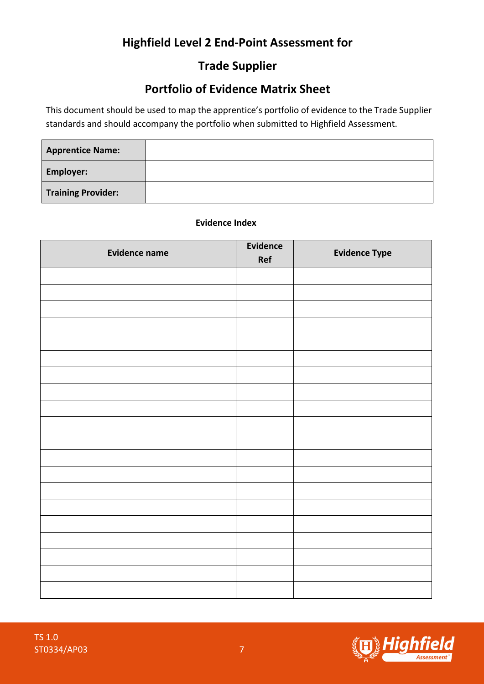# **Highfield Level 2 End-Point Assessment for**

## **Trade Supplier**

### **Portfolio of Evidence Matrix Sheet**

This document should be used to map the apprentice's portfolio of evidence to the Trade Supplier standards and should accompany the portfolio when submitted to Highfield Assessment.

| <b>Apprentice Name:</b>   |  |
|---------------------------|--|
| <b>Employer:</b>          |  |
| <b>Training Provider:</b> |  |

#### **Evidence Index**

| <b>Evidence name</b> | Evidence<br>Ref | <b>Evidence Type</b> |
|----------------------|-----------------|----------------------|
|                      |                 |                      |
|                      |                 |                      |
|                      |                 |                      |
|                      |                 |                      |
|                      |                 |                      |
|                      |                 |                      |
|                      |                 |                      |
|                      |                 |                      |
|                      |                 |                      |
|                      |                 |                      |
|                      |                 |                      |
|                      |                 |                      |
|                      |                 |                      |
|                      |                 |                      |
|                      |                 |                      |
|                      |                 |                      |
|                      |                 |                      |
|                      |                 |                      |
|                      |                 |                      |



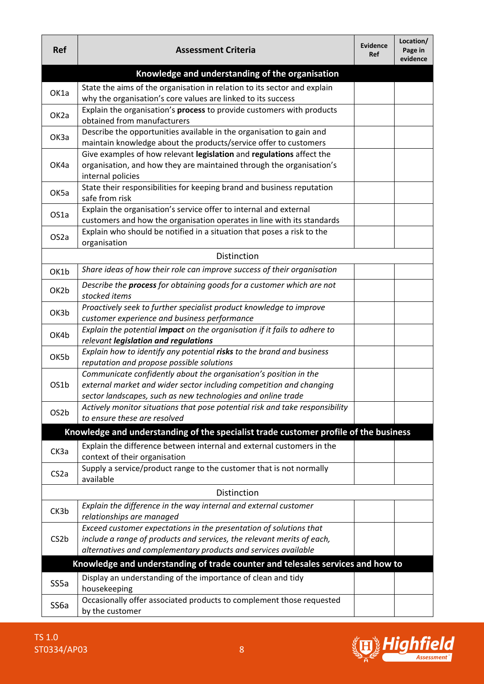| <b>Ref</b>        | <b>Assessment Criteria</b>                                                                                                                   | <b>Evidence</b><br>Ref | Location/<br>Page in<br>evidence |
|-------------------|----------------------------------------------------------------------------------------------------------------------------------------------|------------------------|----------------------------------|
|                   | Knowledge and understanding of the organisation                                                                                              |                        |                                  |
| OK1a              | State the aims of the organisation in relation to its sector and explain                                                                     |                        |                                  |
|                   | why the organisation's core values are linked to its success                                                                                 |                        |                                  |
| OK <sub>2a</sub>  | Explain the organisation's process to provide customers with products                                                                        |                        |                                  |
|                   | obtained from manufacturers                                                                                                                  |                        |                                  |
| ОКЗа              | Describe the opportunities available in the organisation to gain and                                                                         |                        |                                  |
|                   | maintain knowledge about the products/service offer to customers<br>Give examples of how relevant legislation and regulations affect the     |                        |                                  |
| OK4a              | organisation, and how they are maintained through the organisation's                                                                         |                        |                                  |
|                   | internal policies                                                                                                                            |                        |                                  |
|                   | State their responsibilities for keeping brand and business reputation                                                                       |                        |                                  |
| OK5a              | safe from risk                                                                                                                               |                        |                                  |
| OS1a              | Explain the organisation's service offer to internal and external                                                                            |                        |                                  |
|                   | customers and how the organisation operates in line with its standards                                                                       |                        |                                  |
| OS <sub>2</sub> a | Explain who should be notified in a situation that poses a risk to the                                                                       |                        |                                  |
|                   | organisation                                                                                                                                 |                        |                                  |
|                   | Distinction                                                                                                                                  |                        |                                  |
| OK1b              | Share ideas of how their role can improve success of their organisation                                                                      |                        |                                  |
| OK2b              | Describe the process for obtaining goods for a customer which are not<br>stocked items                                                       |                        |                                  |
|                   | Proactively seek to further specialist product knowledge to improve                                                                          |                        |                                  |
| OK3b              | customer experience and business performance                                                                                                 |                        |                                  |
| OK4b              | Explain the potential impact on the organisation if it fails to adhere to<br>relevant legislation and regulations                            |                        |                                  |
| OK5b              | Explain how to identify any potential risks to the brand and business                                                                        |                        |                                  |
|                   | reputation and propose possible solutions                                                                                                    |                        |                                  |
|                   | Communicate confidently about the organisation's position in the                                                                             |                        |                                  |
| OS1b              | external market and wider sector including competition and changing                                                                          |                        |                                  |
|                   | sector landscapes, such as new technologies and online trade<br>Actively monitor situations that pose potential risk and take responsibility |                        |                                  |
| OS2b              | to ensure these are resolved                                                                                                                 |                        |                                  |
|                   | Knowledge and understanding of the specialist trade customer profile of the business                                                         |                        |                                  |
|                   | Explain the difference between internal and external customers in the                                                                        |                        |                                  |
| CK3a              | context of their organisation                                                                                                                |                        |                                  |
|                   | Supply a service/product range to the customer that is not normally                                                                          |                        |                                  |
| CS <sub>2</sub> a | available                                                                                                                                    |                        |                                  |
|                   | Distinction                                                                                                                                  |                        |                                  |
|                   | Explain the difference in the way internal and external customer                                                                             |                        |                                  |
| CK3b              | relationships are managed                                                                                                                    |                        |                                  |
|                   | Exceed customer expectations in the presentation of solutions that                                                                           |                        |                                  |
| CS <sub>2</sub> b | include a range of products and services, the relevant merits of each,                                                                       |                        |                                  |
|                   | alternatives and complementary products and services available                                                                               |                        |                                  |
|                   | Knowledge and understanding of trade counter and telesales services and how to                                                               |                        |                                  |
| SS <sub>5a</sub>  | Display an understanding of the importance of clean and tidy                                                                                 |                        |                                  |
|                   | housekeeping                                                                                                                                 |                        |                                  |
| SS <sub>6a</sub>  | Occasionally offer associated products to complement those requested                                                                         |                        |                                  |
|                   | by the customer                                                                                                                              |                        |                                  |

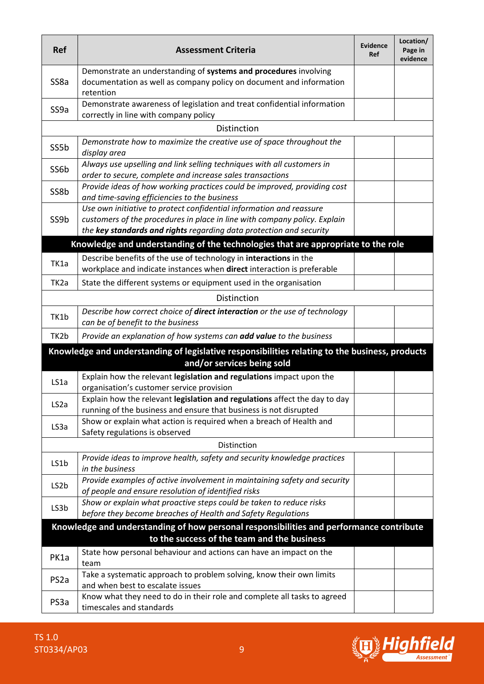| <b>Ref</b>        | <b>Assessment Criteria</b>                                                                                                                                                                                              | <b>Evidence</b><br>Ref | Location/<br>Page in<br>evidence |
|-------------------|-------------------------------------------------------------------------------------------------------------------------------------------------------------------------------------------------------------------------|------------------------|----------------------------------|
| SS8a              | Demonstrate an understanding of systems and procedures involving<br>documentation as well as company policy on document and information<br>retention                                                                    |                        |                                  |
| SS9a              | Demonstrate awareness of legislation and treat confidential information<br>correctly in line with company policy                                                                                                        |                        |                                  |
|                   | Distinction                                                                                                                                                                                                             |                        |                                  |
| SS5b              | Demonstrate how to maximize the creative use of space throughout the<br>display area                                                                                                                                    |                        |                                  |
| SS6b              | Always use upselling and link selling techniques with all customers in<br>order to secure, complete and increase sales transactions                                                                                     |                        |                                  |
| SS8b              | Provide ideas of how working practices could be improved, providing cost<br>and time-saving efficiencies to the business                                                                                                |                        |                                  |
| SS9b              | Use own initiative to protect confidential information and reassure<br>customers of the procedures in place in line with company policy. Explain<br>the key standards and rights regarding data protection and security |                        |                                  |
|                   | Knowledge and understanding of the technologies that are appropriate to the role                                                                                                                                        |                        |                                  |
| TK1a              | Describe benefits of the use of technology in interactions in the<br>workplace and indicate instances when direct interaction is preferable                                                                             |                        |                                  |
| TK <sub>2</sub> a | State the different systems or equipment used in the organisation                                                                                                                                                       |                        |                                  |
|                   | Distinction                                                                                                                                                                                                             |                        |                                  |
|                   | Describe how correct choice of direct interaction or the use of technology                                                                                                                                              |                        |                                  |
| TK1b              | can be of benefit to the business                                                                                                                                                                                       |                        |                                  |
| TK2b              | Provide an explanation of how systems can add value to the business                                                                                                                                                     |                        |                                  |
|                   | Knowledge and understanding of legislative responsibilities relating to the business, products<br>and/or services being sold                                                                                            |                        |                                  |
| LS1a              | Explain how the relevant legislation and regulations impact upon the<br>organisation's customer service provision                                                                                                       |                        |                                  |
| LS <sub>2</sub> a | Explain how the relevant legislation and regulations affect the day to day<br>running of the business and ensure that business is not disrupted                                                                         |                        |                                  |
| LS3a              | Show or explain what action is required when a breach of Health and<br>Safety regulations is observed                                                                                                                   |                        |                                  |
|                   | Distinction                                                                                                                                                                                                             |                        |                                  |
| LS1b              | Provide ideas to improve health, safety and security knowledge practices<br>in the business                                                                                                                             |                        |                                  |
| LS <sub>2</sub> b | Provide examples of active involvement in maintaining safety and security<br>of people and ensure resolution of identified risks                                                                                        |                        |                                  |
| LS3b              | Show or explain what proactive steps could be taken to reduce risks<br>before they become breaches of Health and Safety Regulations                                                                                     |                        |                                  |
|                   | Knowledge and understanding of how personal responsibilities and performance contribute<br>to the success of the team and the business                                                                                  |                        |                                  |
| PK1a              | State how personal behaviour and actions can have an impact on the<br>team                                                                                                                                              |                        |                                  |
| PS <sub>2a</sub>  | Take a systematic approach to problem solving, know their own limits<br>and when best to escalate issues                                                                                                                |                        |                                  |
| PS3a              | Know what they need to do in their role and complete all tasks to agreed<br>timescales and standards                                                                                                                    |                        |                                  |